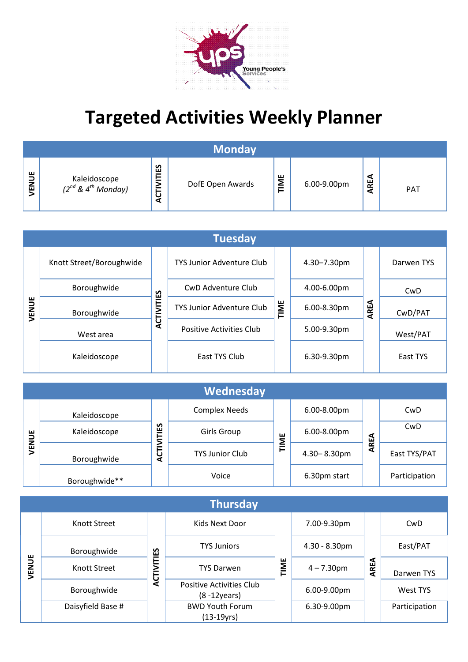

## **Targeted Activities Weekly Planner**

|             |                                                            |                              | <b>Monday</b>    |             |             |             |            |
|-------------|------------------------------------------------------------|------------------------------|------------------|-------------|-------------|-------------|------------|
| ш<br>⊃<br>룹 | Kaleidoscope<br>(2 <sup>nd</sup> & 4 <sup>th</sup> Monday) | ျူ<br><b>INITI</b><br>ں<br>⋖ | DofE Open Awards | ш<br>Σ<br>⊢ | 6.00-9.00pm | ч<br>2<br>⋖ | <b>PAT</b> |

|       | <b>Tuesday</b>           |                   |                                  |      |             |      |            |  |  |  |  |
|-------|--------------------------|-------------------|----------------------------------|------|-------------|------|------------|--|--|--|--|
|       | Knott Street/Boroughwide |                   | <b>TYS Junior Adventure Club</b> |      | 4.30-7.30pm |      | Darwen TYS |  |  |  |  |
|       | Boroughwide              |                   | <b>CwD Adventure Club</b>        | TIME | 4.00-6.00pm |      | CwD        |  |  |  |  |
| VENUE | Boroughwide              | <b>ACTIVITIES</b> | <b>TYS Junior Adventure Club</b> |      | 6.00-8.30pm | AREA | CwD/PAT    |  |  |  |  |
|       | West area                |                   | <b>Positive Activities Club</b>  |      | 5.00-9.30pm |      | West/PAT   |  |  |  |  |
|       | Kaleidoscope             |                   | East TYS Club                    |      | 6.30-9.30pm |      | East TYS   |  |  |  |  |

|              |               |                    | Wednesday              |    |                  |        |               |
|--------------|---------------|--------------------|------------------------|----|------------------|--------|---------------|
|              | Kaleidoscope  |                    | <b>Complex Needs</b>   |    | 6.00-8.00pm      |        | CwD           |
| $\mathbf{B}$ | Kaleidoscope  | <u>ទ</u><br>╒<br>= | Girls Group            | ш  | 6.00-8.00pm      | ธ      | CwD           |
| <b>NEN</b>   | Boroughwide   | ≧<br>5<br>⋖        | <b>TYS Junior Club</b> | ΣĒ | $4.30 - 8.30$ pm | ≃<br>๔ | East TYS/PAT  |
|              | Boroughwide** |                    | Voice                  |    | 6.30pm start     |        | Participation |

|       |                   |                   | <b>Thursday</b>                              |      |                  |      |               |
|-------|-------------------|-------------------|----------------------------------------------|------|------------------|------|---------------|
|       | Knott Street      |                   | Kids Next Door                               |      | 7.00-9.30pm      |      | CwD           |
|       | Boroughwide       | S<br>Ŵ<br>-<br>ĪΣ | <b>TYS Juniors</b>                           |      | $4.30 - 8.30$ pm | AREA | East/PAT      |
| VENUE | Knott Street      |                   | <b>TYS Darwen</b>                            | TIME | $4 - 7.30$ pm    |      | Darwen TYS    |
|       | Boroughwide       | <b>ACT</b>        | Positive Activities Club<br>$(8 - 12$ years) |      | 6.00-9.00pm      |      | West TYS      |
|       | Daisyfield Base # |                   | <b>BWD Youth Forum</b><br>(13-19yrs)         |      | 6.30-9.00pm      |      | Participation |